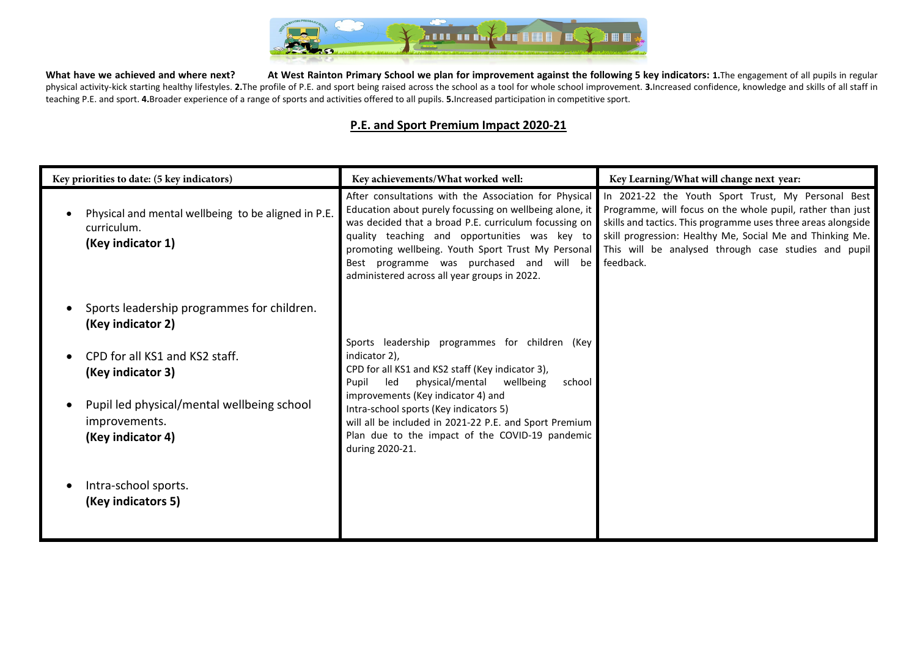

What have we achieved and where next? At West Rainton Primary School we plan for improvement against the following 5 key indicators: 1. The engagement of all pupils in regular physical activity-kick starting healthy lifestyles. 2. The profile of P.E. and sport being raised across the school as a tool for whole school improvement. 3. Increased confidence, knowledge and skills of all staff in teaching P.E. and sport. **4.**Broader experience of a range of sports and activities offered to all pupils. **5.**Increased participation in competitive sport.

## **P.E. and Sport Premium Impact 2020-21**

| Key priorities to date: (5 key indicators)                                              | Key achievements/What worked well:                                                                                                                                                                                                                                                                                                                                           | Key Learning/What will change next year:                                                                                                                                                                                                                                                                            |  |  |
|-----------------------------------------------------------------------------------------|------------------------------------------------------------------------------------------------------------------------------------------------------------------------------------------------------------------------------------------------------------------------------------------------------------------------------------------------------------------------------|---------------------------------------------------------------------------------------------------------------------------------------------------------------------------------------------------------------------------------------------------------------------------------------------------------------------|--|--|
| Physical and mental wellbeing to be aligned in P.E.<br>curriculum.<br>(Key indicator 1) | After consultations with the Association for Physical<br>Education about purely focussing on wellbeing alone, it<br>was decided that a broad P.E. curriculum focussing on<br>quality teaching and opportunities was key to<br>promoting wellbeing. Youth Sport Trust My Personal<br>Best programme was purchased and will be<br>administered across all year groups in 2022. | In 2021-22 the Youth Sport Trust, My Personal Best<br>Programme, will focus on the whole pupil, rather than just<br>skills and tactics. This programme uses three areas alongside<br>skill progression: Healthy Me, Social Me and Thinking Me.<br>This will be analysed through case studies and pupil<br>feedback. |  |  |
| Sports leadership programmes for children.<br>(Key indicator 2)                         |                                                                                                                                                                                                                                                                                                                                                                              |                                                                                                                                                                                                                                                                                                                     |  |  |
| CPD for all KS1 and KS2 staff.<br>(Key indicator 3)                                     | Sports leadership programmes for children (Key<br>indicator 2),<br>CPD for all KS1 and KS2 staff (Key indicator 3),<br>physical/mental<br>wellbeing<br>Pupil<br>led<br>school                                                                                                                                                                                                |                                                                                                                                                                                                                                                                                                                     |  |  |
| Pupil led physical/mental wellbeing school<br>improvements.<br>(Key indicator 4)        | improvements (Key indicator 4) and<br>Intra-school sports (Key indicators 5)<br>will all be included in 2021-22 P.E. and Sport Premium<br>Plan due to the impact of the COVID-19 pandemic<br>during 2020-21.                                                                                                                                                                 |                                                                                                                                                                                                                                                                                                                     |  |  |
| Intra-school sports.<br>(Key indicators 5)                                              |                                                                                                                                                                                                                                                                                                                                                                              |                                                                                                                                                                                                                                                                                                                     |  |  |